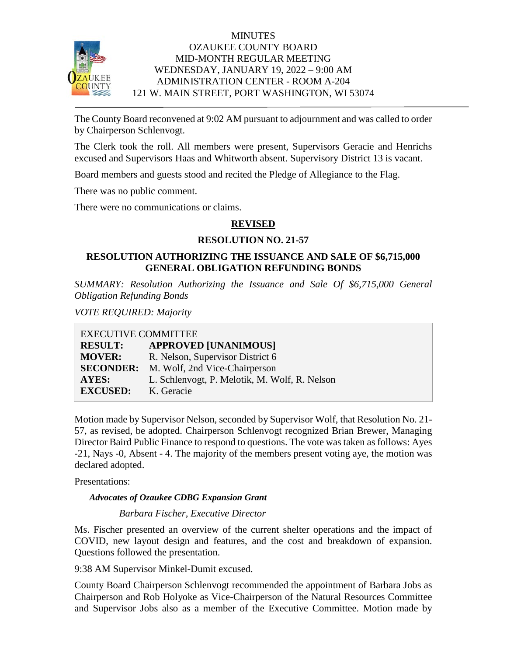

# **MINUTES** OZAUKEE COUNTY BOARD MID-MONTH REGULAR MEETING WEDNESDAY, JANUARY 19, 2022 – 9:00 AM ADMINISTRATION CENTER - ROOM A-204 121 W. MAIN STREET, PORT WASHINGTON, WI 53074

The County Board reconvened at 9:02 AM pursuant to adjournment and was called to order by Chairperson Schlenvogt.

The Clerk took the roll. All members were present, Supervisors Geracie and Henrichs excused and Supervisors Haas and Whitworth absent. Supervisory District 13 is vacant.

Board members and guests stood and recited the Pledge of Allegiance to the Flag.

There was no public comment.

There were no communications or claims.

# **REVISED**

### **RESOLUTION NO. 21-57**

# **RESOLUTION AUTHORIZING THE ISSUANCE AND SALE OF \$6,715,000 GENERAL OBLIGATION REFUNDING BONDS**

*SUMMARY: Resolution Authorizing the Issuance and Sale Of \$6,715,000 General Obligation Refunding Bonds* 

*VOTE REQUIRED: Majority*

| <b>EXECUTIVE COMMITTEE</b> |                                               |
|----------------------------|-----------------------------------------------|
| <b>RESULT:</b>             | <b>APPROVED [UNANIMOUS]</b>                   |
| <b>MOVER:</b>              | R. Nelson, Supervisor District 6              |
| <b>SECONDER:</b>           | M. Wolf, 2nd Vice-Chairperson                 |
| AYES:                      | L. Schlenvogt, P. Melotik, M. Wolf, R. Nelson |
| <b>EXCUSED:</b>            | K. Geracie                                    |

Motion made by Supervisor Nelson, seconded by Supervisor Wolf, that Resolution No. 21- 57, as revised, be adopted. Chairperson Schlenvogt recognized Brian Brewer, Managing Director Baird Public Finance to respond to questions. The vote was taken as follows: Ayes -21, Nays -0, Absent - 4. The majority of the members present voting aye, the motion was declared adopted.

Presentations:

*Advocates of Ozaukee CDBG Expansion Grant*

*Barbara Fischer, Executive Director* 

Ms. Fischer presented an overview of the current shelter operations and the impact of COVID, new layout design and features, and the cost and breakdown of expansion. Questions followed the presentation.

9:38 AM Supervisor Minkel-Dumit excused.

County Board Chairperson Schlenvogt recommended the appointment of Barbara Jobs as Chairperson and Rob Holyoke as Vice-Chairperson of the Natural Resources Committee and Supervisor Jobs also as a member of the Executive Committee. Motion made by